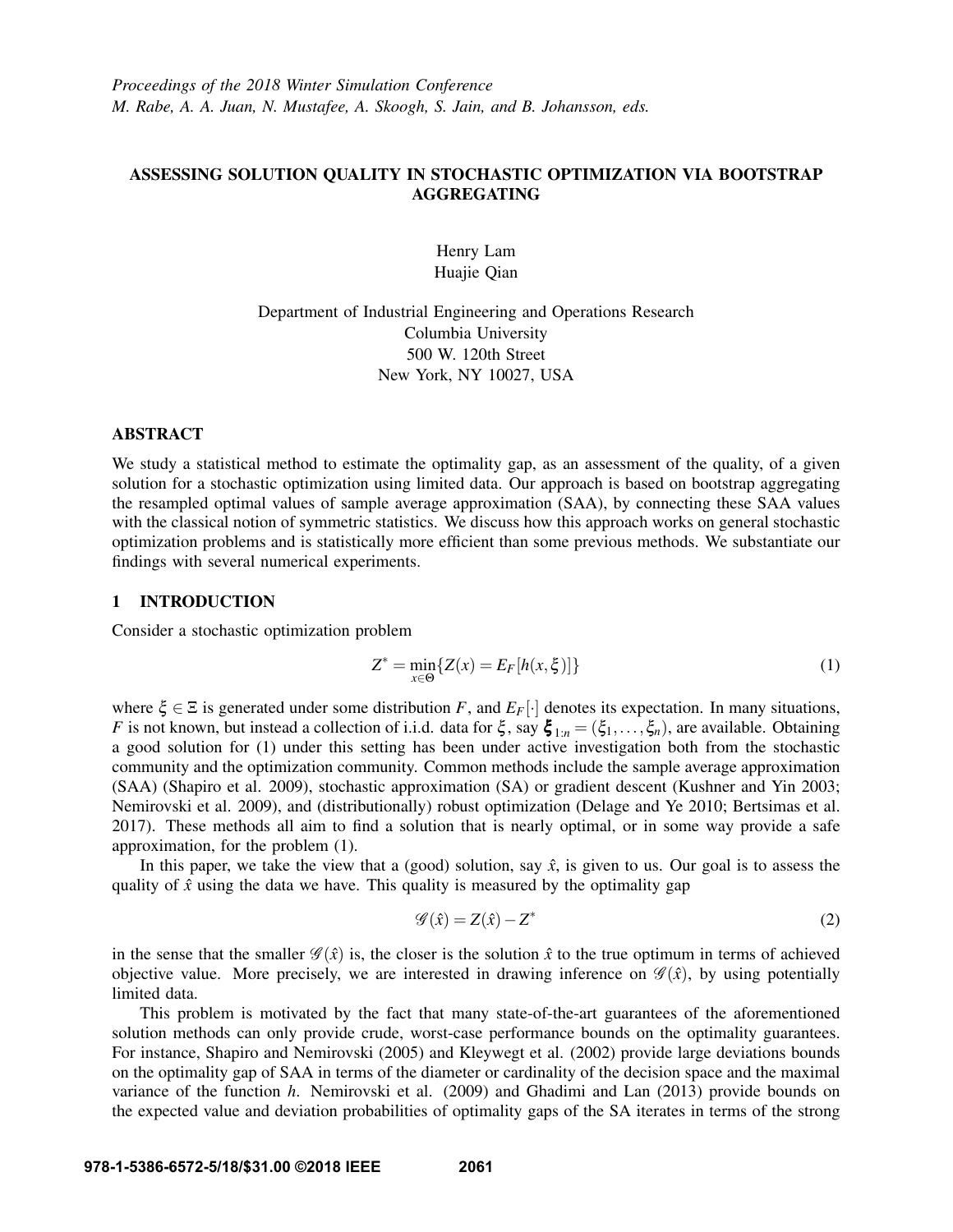# ASSESSING SOLUTION QUALITY IN STOCHASTIC OPTIMIZATION VIA BOOTSTRAP AGGREGATING

Henry Lam Huajie Qian

Department of Industrial Engineering and Operations Research Columbia University 500 W. 120th Street New York, NY 10027, USA

# ABSTRACT

We study a statistical method to estimate the optimality gap, as an assessment of the quality, of a given solution for a stochastic optimization using limited data. Our approach is based on bootstrap aggregating the resampled optimal values of sample average approximation (SAA), by connecting these SAA values with the classical notion of symmetric statistics. We discuss how this approach works on general stochastic optimization problems and is statistically more efficient than some previous methods. We substantiate our findings with several numerical experiments.

## 1 INTRODUCTION

Consider a stochastic optimization problem

$$
Z^* = \min_{x \in \Theta} \{ Z(x) = E_F[h(x, \xi)] \}
$$
 (1)

where  $\xi \in \Xi$  is generated under some distribution *F*, and  $E_F[\cdot]$  denotes its expectation. In many situations, *F* is not known, but instead a collection of i.i.d. data for  $\xi$ , say  $\xi_{1:n} = (\xi_1, \dots, \xi_n)$ , are available. Obtaining a good solution for (1) under this setting has been under active investigation both from the stochastic community and the optimization community. Common methods include the sample average approximation (SAA) (Shapiro et al. 2009), stochastic approximation (SA) or gradient descent (Kushner and Yin 2003; Nemirovski et al. 2009), and (distributionally) robust optimization (Delage and Ye 2010; Bertsimas et al. 2017). These methods all aim to find a solution that is nearly optimal, or in some way provide a safe approximation, for the problem (1).

In this paper, we take the view that a (good) solution, say  $\hat{x}$ , is given to us. Our goal is to assess the quality of  $\hat{x}$  using the data we have. This quality is measured by the optimality gap

$$
\mathscr{G}(\hat{x}) = Z(\hat{x}) - Z^* \tag{2}
$$

in the sense that the smaller  $\mathscr{G}(\hat{x})$  is, the closer is the solution  $\hat{x}$  to the true optimum in terms of achieved objective value. More precisely, we are interested in drawing inference on  $\mathscr{G}(\hat{x})$ , by using potentially limited data.

This problem is motivated by the fact that many state-of-the-art guarantees of the aforementioned solution methods can only provide crude, worst-case performance bounds on the optimality guarantees. For instance, Shapiro and Nemirovski (2005) and Kleywegt et al. (2002) provide large deviations bounds on the optimality gap of SAA in terms of the diameter or cardinality of the decision space and the maximal variance of the function *h*. Nemirovski et al. (2009) and Ghadimi and Lan (2013) provide bounds on the expected value and deviation probabilities of optimality gaps of the SA iterates in terms of the strong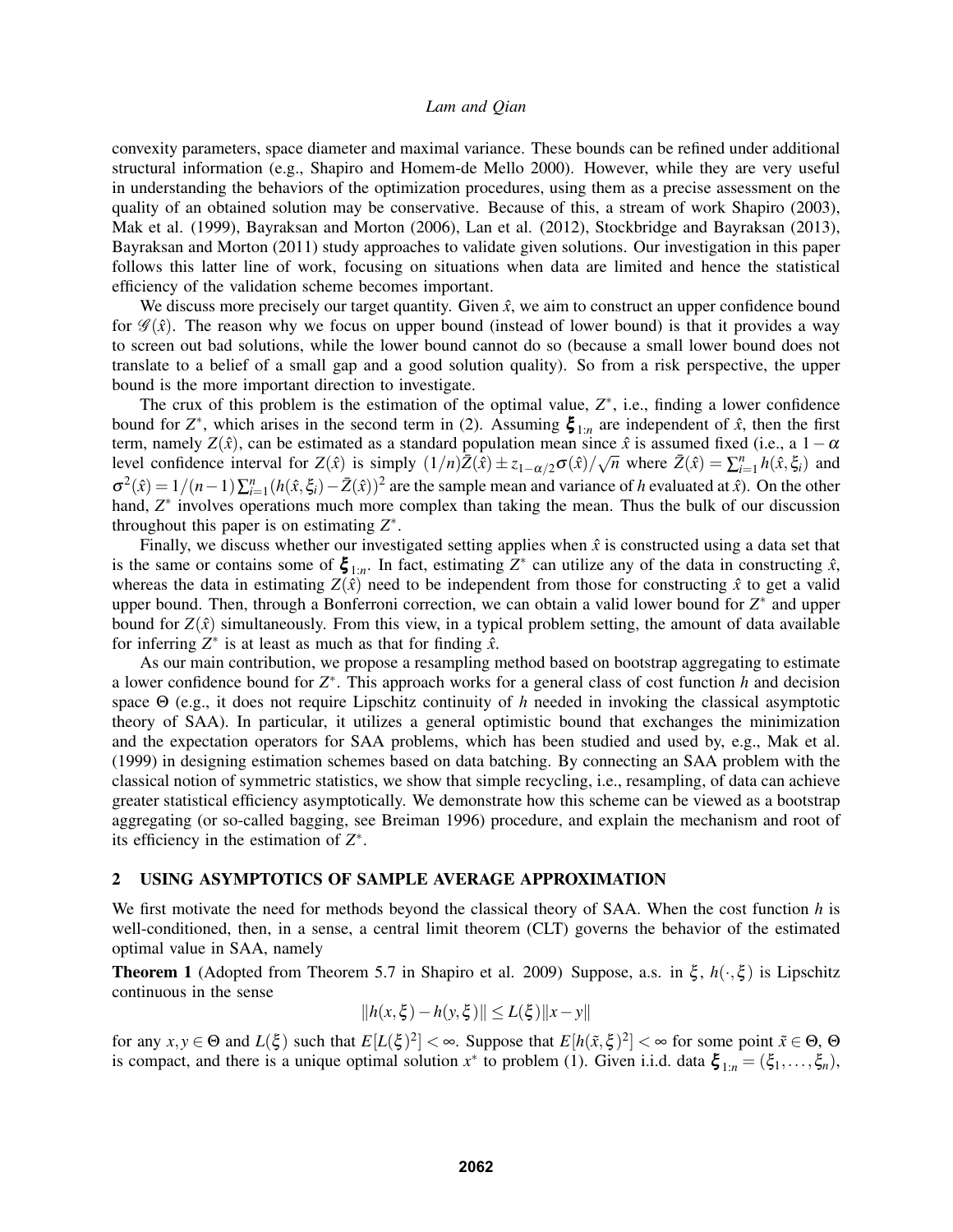convexity parameters, space diameter and maximal variance. These bounds can be refined under additional structural information (e.g., Shapiro and Homem-de Mello 2000). However, while they are very useful in understanding the behaviors of the optimization procedures, using them as a precise assessment on the quality of an obtained solution may be conservative. Because of this, a stream of work Shapiro (2003), Mak et al. (1999), Bayraksan and Morton (2006), Lan et al. (2012), Stockbridge and Bayraksan (2013), Bayraksan and Morton (2011) study approaches to validate given solutions. Our investigation in this paper follows this latter line of work, focusing on situations when data are limited and hence the statistical efficiency of the validation scheme becomes important.

We discuss more precisely our target quantity. Given  $\hat{x}$ , we aim to construct an upper confidence bound for  $\mathscr{G}(\hat{x})$ . The reason why we focus on upper bound (instead of lower bound) is that it provides a way to screen out bad solutions, while the lower bound cannot do so (because a small lower bound does not translate to a belief of a small gap and a good solution quality). So from a risk perspective, the upper bound is the more important direction to investigate.

The crux of this problem is the estimation of the optimal value,  $Z^*$ , i.e., finding a lower confidence bound for  $Z^*$ , which arises in the second term in (2). Assuming  $\xi_{1:n}$  are independent of  $\hat{x}$ , then the first term, namely  $Z(\hat{x})$ , can be estimated as a standard population mean since  $\hat{x}$  is assumed fixed (i.e., a 1− $\alpha$ level confidence interval for  $Z(\hat{x})$  is simply  $(1/n)\bar{Z}(\hat{x}) \pm z_{1-\alpha/2}\sigma(\hat{x})/\sqrt{n}$  where  $\bar{Z}(\hat{x}) = \sum_{i=1}^{n} h(\hat{x}, \xi_i)$  and  $\sigma^2(\hat{x}) = 1/(n-1)\sum_{i=1}^n (h(\hat{x}, \xi_i) - \bar{Z}(\hat{x}))^2$  are the sample mean and variance of *h* evaluated at  $\hat{x}$ ). On the other hand, Z<sup>\*</sup> involves operations much more complex than taking the mean. Thus the bulk of our discussion throughout this paper is on estimating *Z* ∗ .

Finally, we discuss whether our investigated setting applies when  $\hat{x}$  is constructed using a data set that is the same or contains some of  $\xi_{1:n}$ . In fact, estimating  $Z^*$  can utilize any of the data in constructing  $\hat{x}$ , whereas the data in estimating  $Z(\hat{x})$  need to be independent from those for constructing  $\hat{x}$  to get a valid upper bound. Then, through a Bonferroni correction, we can obtain a valid lower bound for  $Z^*$  and upper bound for  $Z(\hat{x})$  simultaneously. From this view, in a typical problem setting, the amount of data available for inferring  $Z^*$  is at least as much as that for finding  $\hat{x}$ .

As our main contribution, we propose a resampling method based on bootstrap aggregating to estimate a lower confidence bound for  $Z^*$ . This approach works for a general class of cost function *h* and decision space Θ (e.g., it does not require Lipschitz continuity of *h* needed in invoking the classical asymptotic theory of SAA). In particular, it utilizes a general optimistic bound that exchanges the minimization and the expectation operators for SAA problems, which has been studied and used by, e.g., Mak et al. (1999) in designing estimation schemes based on data batching. By connecting an SAA problem with the classical notion of symmetric statistics, we show that simple recycling, i.e., resampling, of data can achieve greater statistical efficiency asymptotically. We demonstrate how this scheme can be viewed as a bootstrap aggregating (or so-called bagging, see Breiman 1996) procedure, and explain the mechanism and root of its efficiency in the estimation of  $Z^*$ .

### 2 USING ASYMPTOTICS OF SAMPLE AVERAGE APPROXIMATION

We first motivate the need for methods beyond the classical theory of SAA. When the cost function *h* is well-conditioned, then, in a sense, a central limit theorem (CLT) governs the behavior of the estimated optimal value in SAA, namely

Theorem 1 (Adopted from Theorem 5.7 in Shapiro et al. 2009) Suppose, a.s. in ξ , *h*(·,ξ ) is Lipschitz continuous in the sense

$$
||h(x,\xi) - h(y,\xi)|| \le L(\xi) ||x - y||
$$

for any  $x, y \in \Theta$  and  $L(\xi)$  such that  $E[L(\xi)^2] < \infty$ . Suppose that  $E[h(\tilde{x}, \xi)^2] < \infty$  for some point  $\tilde{x} \in \Theta$ ,  $\Theta$ is compact, and there is a unique optimal solution  $x^*$  to problem (1). Given i.i.d. data  $\xi_{1:n} = (\xi_1, \ldots, \xi_n)$ ,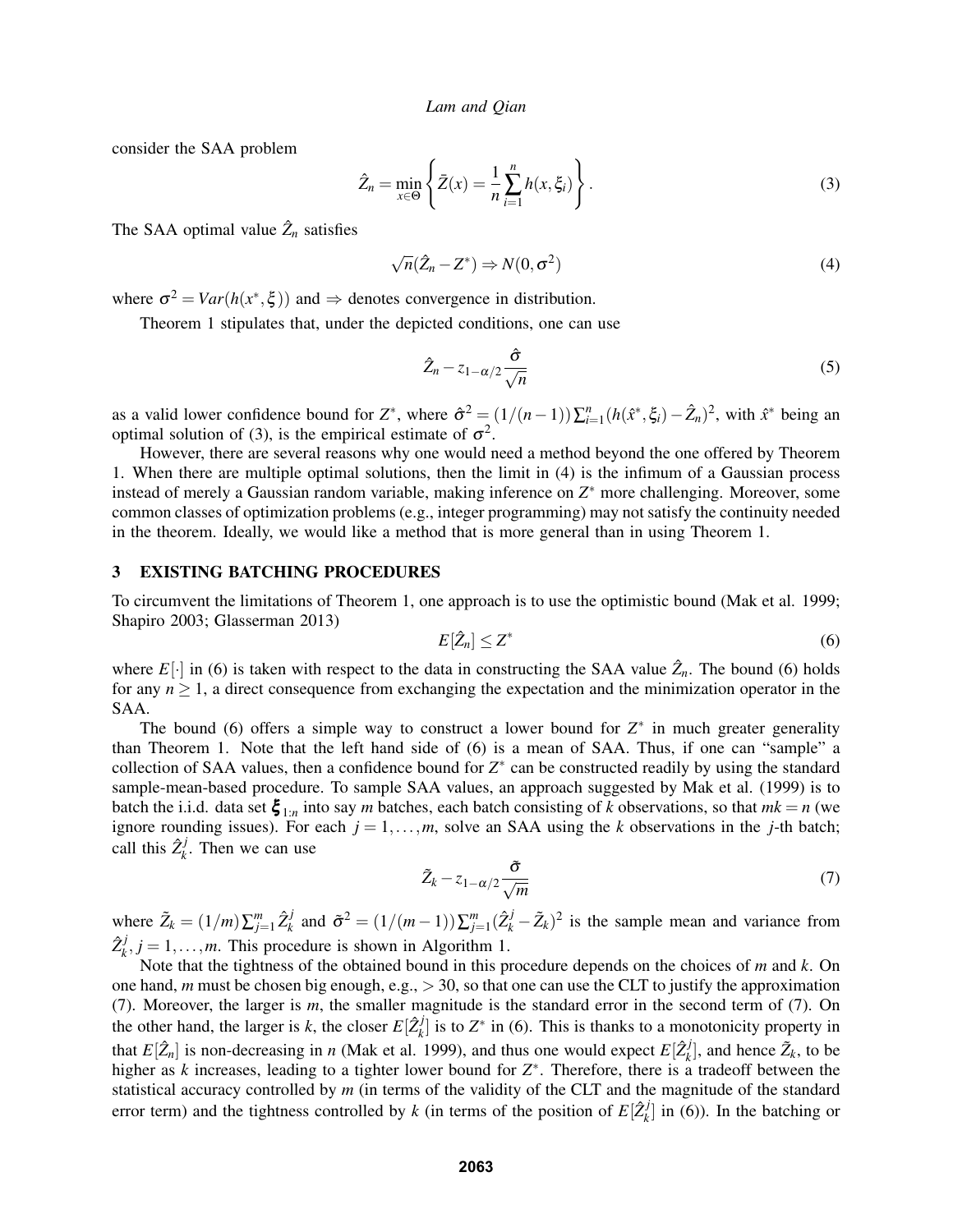consider the SAA problem

$$
\hat{Z}_n = \min_{x \in \Theta} \left\{ \bar{Z}(x) = \frac{1}{n} \sum_{i=1}^n h(x, \xi_i) \right\}.
$$
\n(3)

The SAA optimal value  $\hat{Z}_n$  satisfies

$$
\sqrt{n}(\hat{Z}_n - Z^*) \Rightarrow N(0, \sigma^2)
$$
\n(4)

where  $\sigma^2 = Var(h(x^*, \xi))$  and  $\Rightarrow$  denotes convergence in distribution.

Theorem 1 stipulates that, under the depicted conditions, one can use

$$
\hat{Z}_n - z_{1-\alpha/2} \frac{\hat{\sigma}}{\sqrt{n}} \tag{5}
$$

as a valid lower confidence bound for  $Z^*$ , where  $\hat{\sigma}^2 = (1/(n-1))\sum_{i=1}^n (h(\hat{x}^*, \xi_i) - \hat{Z}_n)^2$ , with  $\hat{x}^*$  being an optimal solution of (3), is the empirical estimate of  $\sigma^2$ .

However, there are several reasons why one would need a method beyond the one offered by Theorem 1. When there are multiple optimal solutions, then the limit in (4) is the infimum of a Gaussian process instead of merely a Gaussian random variable, making inference on *Z* <sup>∗</sup> more challenging. Moreover, some common classes of optimization problems (e.g., integer programming) may not satisfy the continuity needed in the theorem. Ideally, we would like a method that is more general than in using Theorem 1.

# 3 EXISTING BATCHING PROCEDURES

To circumvent the limitations of Theorem 1, one approach is to use the optimistic bound (Mak et al. 1999; Shapiro 2003; Glasserman 2013)

$$
E[\hat{Z}_n] \le Z^* \tag{6}
$$

where  $E[\cdot]$  in (6) is taken with respect to the data in constructing the SAA value  $\hat{Z}_n$ . The bound (6) holds for any  $n \geq 1$ , a direct consequence from exchanging the expectation and the minimization operator in the SAA.

The bound (6) offers a simple way to construct a lower bound for  $Z^*$  in much greater generality than Theorem 1. Note that the left hand side of (6) is a mean of SAA. Thus, if one can "sample" a collection of SAA values, then a confidence bound for  $Z^*$  can be constructed readily by using the standard sample-mean-based procedure. To sample SAA values, an approach suggested by Mak et al. (1999) is to batch the i.i.d. data set  $\xi_{1:n}$  into say *m* batches, each batch consisting of *k* observations, so that  $mk = n$  (we ignore rounding issues). For each  $j = 1, \ldots, m$ , solve an SAA using the *k* observations in the *j*-th batch; call this  $\hat{Z}_{k}^{j}$  $k<sub>k</sub>$ . Then we can use

$$
\tilde{Z}_k - z_{1-\alpha/2} \frac{\tilde{\sigma}}{\sqrt{m}} \tag{7}
$$

where  $\tilde{Z}_k = (1/m)\sum_{j=1}^m \hat{Z}_k^j$  $\sigma^j$  and  $\tilde{\sigma}^2 = (1/(m-1))\sum_{j=1}^m (\hat{Z}_k^j - \tilde{Z}_k)^2$  is the sample mean and variance from  $\hat{Z}_{\iota}^j$  $k$ ,  $j = 1, ..., m$ . This procedure is shown in Algorithm 1.

Note that the tightness of the obtained bound in this procedure depends on the choices of *m* and *k*. On one hand, *m* must be chosen big enough, e.g., > 30, so that one can use the CLT to justify the approximation (7). Moreover, the larger is *m*, the smaller magnitude is the standard error in the second term of (7). On the other hand, the larger is *k*, the closer  $E[\hat{Z}_{k}^{j}]$  $\mathbf{z}_{k}^{j}$  is to  $\mathbf{Z}^{*}$  in (6). This is thanks to a monotonicity property in that  $E[\hat{Z}_n]$  is non-decreasing in *n* (Mak et al. 1999), and thus one would expect  $E[\hat{Z}_k^j]$  $(\tilde{Z}_k)$ , and hence  $\tilde{Z}_k$ , to be higher as  $k$  increases, leading to a tighter lower bound for  $Z^*$ . Therefore, there is a tradeoff between the statistical accuracy controlled by *m* (in terms of the validity of the CLT and the magnitude of the standard error term) and the tightness controlled by *k* (in terms of the position of  $E[\hat{Z}_{k}^{j}]$  $k<sup>J</sup>$  in (6)). In the batching or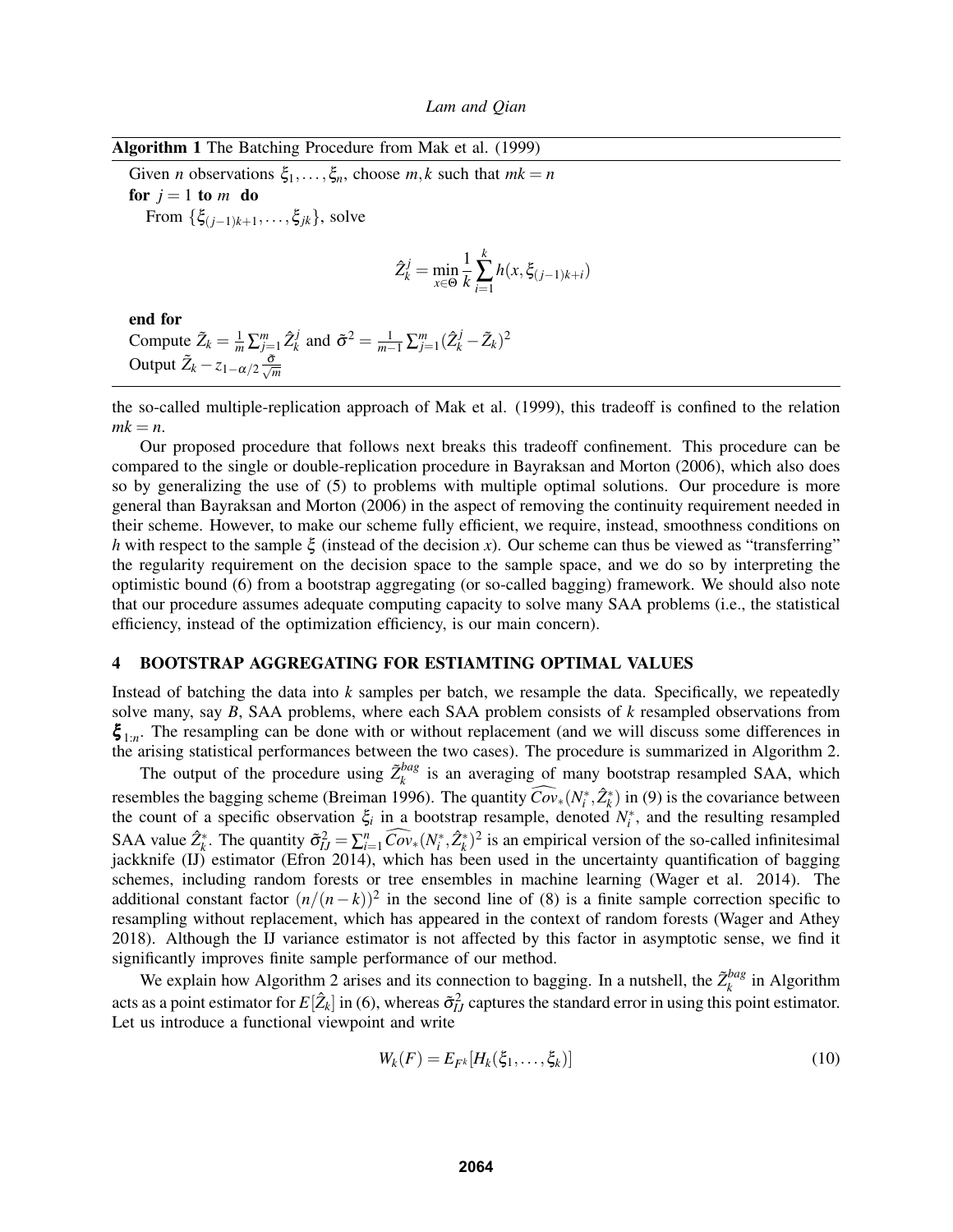| Algorithm 1 The Batching Procedure from Mak et al. (1999) |  |  |  |  |  |  |
|-----------------------------------------------------------|--|--|--|--|--|--|
|-----------------------------------------------------------|--|--|--|--|--|--|

Given *n* observations  $\xi_1, \ldots, \xi_n$ , choose *m*, *k* such that  $mk = n$ for  $j = 1$  to  $m$  do From  $\{\xi_{(j-1)k+1}, \ldots, \xi_{jk}\}$ , solve

$$
\hat{Z}_{k}^{j} = \min_{x \in \Theta} \frac{1}{k} \sum_{i=1}^{k} h(x, \xi_{(j-1)k+i})
$$

end for Compute  $\tilde{Z}_k = \frac{1}{m} \sum_{j=1}^m \hat{Z}_k^j$  $\sum_{k}^{j}$  and  $\tilde{\sigma}^2 = \frac{1}{m-1} \sum_{j=1}^{m} (\hat{Z}_{k}^{j} - \tilde{Z}_{k})^2$ Output  $\tilde{Z}_k - z_{1-\alpha/2} \frac{\tilde{\sigma}}{\sqrt{m}}$ 

the so-called multiple-replication approach of Mak et al. (1999), this tradeoff is confined to the relation  $mk = n$ .

Our proposed procedure that follows next breaks this tradeoff confinement. This procedure can be compared to the single or double-replication procedure in Bayraksan and Morton (2006), which also does so by generalizing the use of (5) to problems with multiple optimal solutions. Our procedure is more general than Bayraksan and Morton (2006) in the aspect of removing the continuity requirement needed in their scheme. However, to make our scheme fully efficient, we require, instead, smoothness conditions on *h* with respect to the sample ξ (instead of the decision *x*). Our scheme can thus be viewed as "transferring" the regularity requirement on the decision space to the sample space, and we do so by interpreting the optimistic bound (6) from a bootstrap aggregating (or so-called bagging) framework. We should also note that our procedure assumes adequate computing capacity to solve many SAA problems (i.e., the statistical efficiency, instead of the optimization efficiency, is our main concern).

### 4 BOOTSTRAP AGGREGATING FOR ESTIAMTING OPTIMAL VALUES

Instead of batching the data into *k* samples per batch, we resample the data. Specifically, we repeatedly solve many, say *B*, SAA problems, where each SAA problem consists of *k* resampled observations from  $\xi_{1:n}$ . The resampling can be done with or without replacement (and we will discuss some differences in the arising statistical performances between the two cases). The procedure is summarized in Algorithm 2.

The output of the procedure using  $\tilde{Z}_k^{bag}$  $\chi_k^{bag}$  is an averaging of many bootstrap resampled SAA, which resembles the bagging scheme (Breiman 1996). The quantity  $\widehat{Cov}_*(N_i^*, \hat{Z}_k^*)$  in (9) is the covariance between the count of a specific observation  $\xi$  in a bootstrap resample, denoted  $N_i^*$ , and the resulting resampled SAA value  $\hat{Z}_k^*$ . The quantity  $\tilde{\sigma}_{IJ}^2 = \sum_{i=1}^n \widehat{Cov}_*(N_i^*, \hat{Z}_k^*)^2$  is an empirical version of the so-called infinitesimal jackknife (IJ) estimator (Efron 2014), which has been used in the uncertainty quantification of bagging schemes, including random forests or tree ensembles in machine learning (Wager et al. 2014). The additional constant factor  $(n/(n-k))^2$  in the second line of (8) is a finite sample correction specific to resampling without replacement, which has appeared in the context of random forests (Wager and Athey 2018). Although the IJ variance estimator is not affected by this factor in asymptotic sense, we find it significantly improves finite sample performance of our method.

We explain how Algorithm 2 arises and its connection to bagging. In a nutshell, the  $\tilde{Z}_k^{bag}$  $\binom{bag}{k}$  in Algorithm acts as a point estimator for  $E[\hat{Z}_k]$  in (6), whereas  $\tilde{\sigma}_{IJ}^2$  captures the standard error in using this point estimator. Let us introduce a functional viewpoint and write

$$
W_k(F) = E_{F^k}[H_k(\xi_1,\ldots,\xi_k)]
$$
\n<sup>(10)</sup>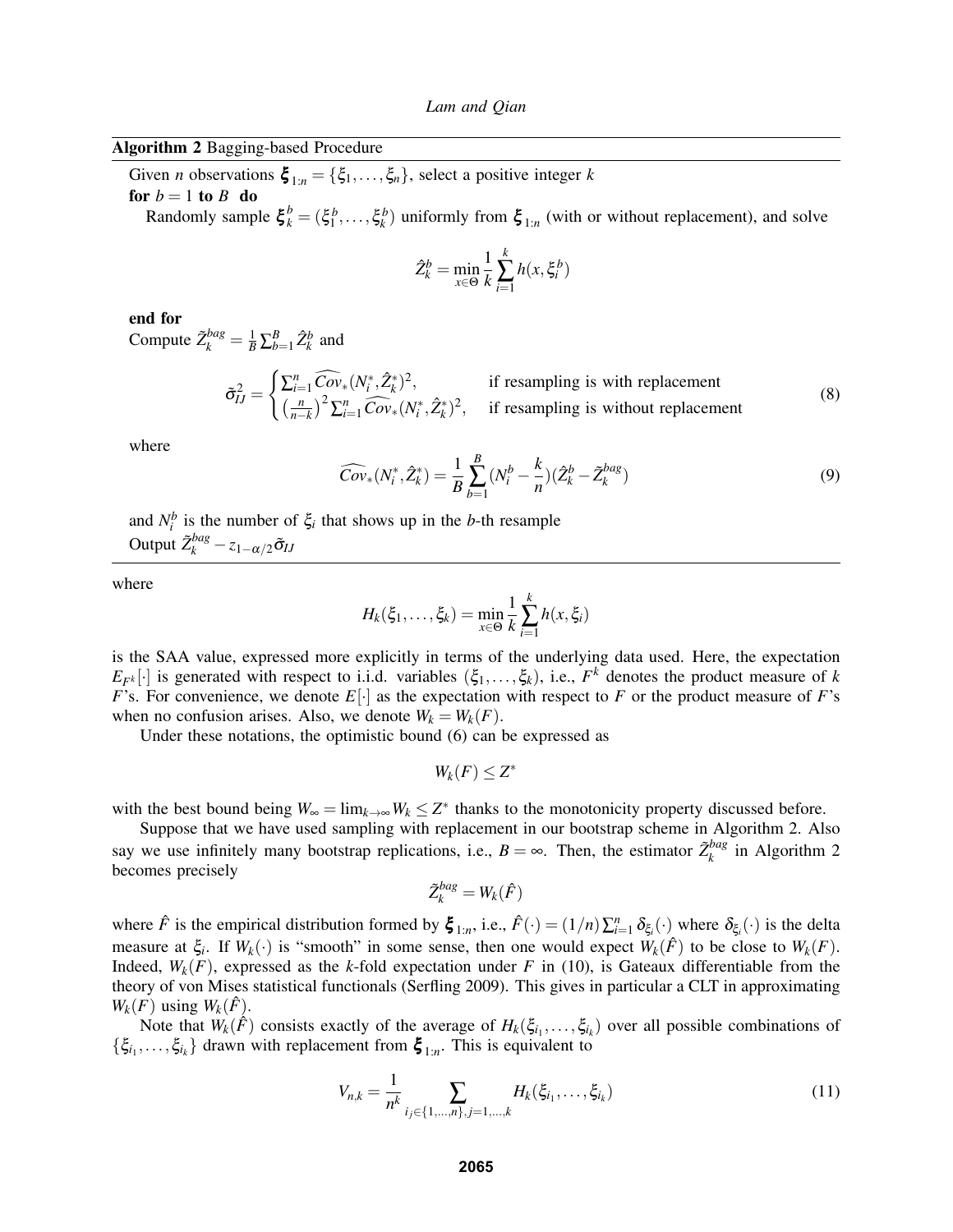# Algorithm 2 Bagging-based Procedure

Given *n* observations  $\boldsymbol{\xi}_{1:n} = {\xi_1, \ldots, \xi_n}$ , select a positive integer *k* for  $b = 1$  to  $B$  do

Randomly sample  $\xi_k^b = (\xi_1^b, \dots, \xi_k^b)$  uniformly from  $\xi_{1:n}$  (with or without replacement), and solve

$$
\hat{Z}_k^b = \min_{x \in \Theta} \frac{1}{k} \sum_{i=1}^k h(x, \xi_i^b)
$$

end for

Compute  $\tilde{Z}_k^{bag} = \frac{1}{B} \sum_{b=1}^B \hat{Z}_k^b$  and

$$
\tilde{\sigma}_{IJ}^2 = \begin{cases} \sum_{i=1}^n \widehat{Cov}_*(N_i^*, \hat{Z}_k^*)^2, & \text{if resampling is with replacement} \\ \left(\frac{n}{n-k}\right)^2 \sum_{i=1}^n \widehat{Cov}_*(N_i^*, \hat{Z}_k^*)^2, & \text{if resampling is without replacement} \end{cases}
$$
(8)

where

$$
\widehat{Cov}_*(N_i^*, \hat{Z}_k^*) = \frac{1}{B} \sum_{b=1}^B (N_i^b - \frac{k}{n}) (\hat{Z}_k^b - \tilde{Z}_k^{bag})
$$
\n(9)

and  $N_i^b$  is the number of  $\xi_i$  that shows up in the *b*-th resample Output  $\tilde{Z}_{k}^{bag} - z_{1-\alpha/2}\tilde{\sigma}_{IJ}$ 

where

$$
H_k(\xi_1, ..., \xi_k) = \min_{x \in \Theta} \frac{1}{k} \sum_{i=1}^k h(x, \xi_i)
$$

is the SAA value, expressed more explicitly in terms of the underlying data used. Here, the expectation  $E_{F^k}[\cdot]$  is generated with respect to i.i.d. variables  $(\xi_1,\ldots,\xi_k)$ , i.e.,  $F^k$  denotes the product measure of *k F*'s. For convenience, we denote  $E[\cdot]$  as the expectation with respect to *F* or the product measure of *F*'s when no confusion arises. Also, we denote  $W_k = W_k(F)$ .

Under these notations, the optimistic bound (6) can be expressed as

$$
W_k(F)\leq Z^*
$$

with the best bound being  $W_{\infty} = \lim_{k \to \infty} W_k \leq Z^*$  thanks to the monotonicity property discussed before.

Suppose that we have used sampling with replacement in our bootstrap scheme in Algorithm 2. Also say we use infinitely many bootstrap replications, i.e.,  $B = \infty$ . Then, the estimator  $\tilde{Z}_k^{bag}$  $\binom{bag}{k}$  in Algorithm 2 becomes precisely

$$
\tilde{Z}_k^{bag}=W_k(\hat{F})
$$

where  $\hat{F}$  is the empirical distribution formed by  $\boldsymbol{\xi}_{1:n}$ , i.e.,  $\hat{F}(\cdot) = (1/n) \sum_{i=1}^{n} \delta_{\xi_i}(\cdot)$  where  $\delta_{\xi_i}(\cdot)$  is the delta measure at  $\xi_i$ . If  $W_k(\cdot)$  is "smooth" in some sense, then one would expect  $W_k(\hat{F})$  to be close to  $W_k(F)$ . Indeed,  $W_k(F)$ , expressed as the *k*-fold expectation under *F* in (10), is Gateaux differentiable from the theory of von Mises statistical functionals (Serfling 2009). This gives in particular a CLT in approximating  $W_k(F)$  using  $W_k(F)$ .

Note that  $W_k(\hat{F})$  consists exactly of the average of  $H_k(\xi_{i_1},\ldots,\xi_{i_k})$  over all possible combinations of  $\{\xi_{i_1},\ldots,\xi_{i_k}\}\)$  drawn with replacement from  $\xi_{1:n}$ . This is equivalent to

$$
V_{n,k} = \frac{1}{n^k} \sum_{i_j \in \{1, \dots, n\}, j=1, \dots, k} H_k(\xi_{i_1}, \dots, \xi_{i_k})
$$
(11)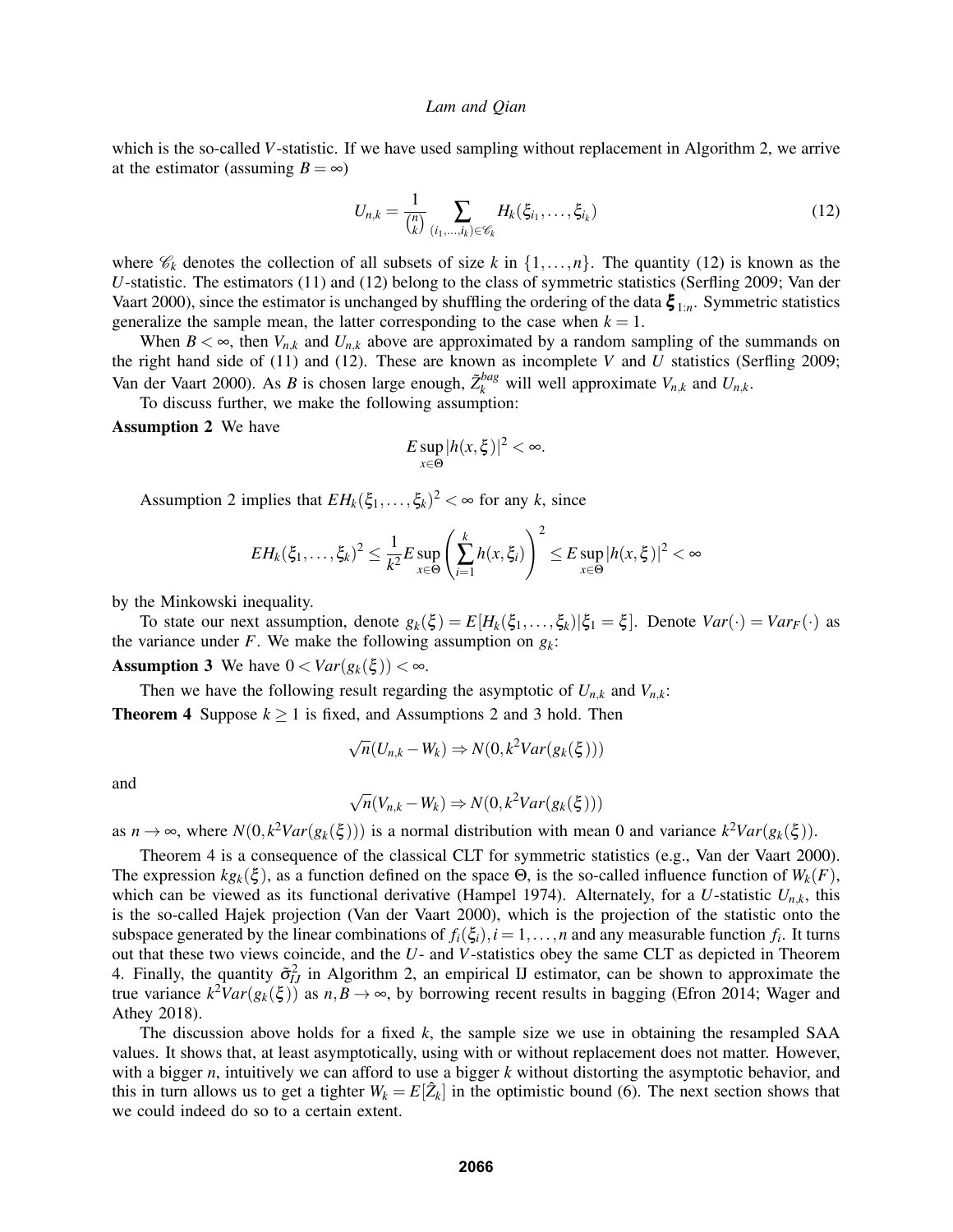which is the so-called *V*-statistic. If we have used sampling without replacement in Algorithm 2, we arrive at the estimator (assuming  $B = \infty$ )

$$
U_{n,k} = \frac{1}{\binom{n}{k}} \sum_{(i_1,\dots,i_k) \in \mathscr{C}_k} H_k(\xi_{i_1},\dots,\xi_{i_k})
$$
(12)

where  $\mathscr{C}_k$  denotes the collection of all subsets of size *k* in  $\{1,\ldots,n\}$ . The quantity (12) is known as the *U*-statistic. The estimators (11) and (12) belong to the class of symmetric statistics (Serfling 2009; Van der Vaart 2000), since the estimator is unchanged by shuffling the ordering of the data  $\xi_{1:n}$ . Symmetric statistics generalize the sample mean, the latter corresponding to the case when  $k = 1$ .

When  $B < \infty$ , then  $V_{n,k}$  and  $U_{n,k}$  above are approximated by a random sampling of the summands on the right hand side of (11) and (12). These are known as incomplete *V* and  $\hat{U}$  statistics (Serfling 2009; Van der Vaart 2000). As *B* is chosen large enough,  $\tilde{Z}_k^{bag}$  will well approximate  $V_{n,k}$  and  $U_{n,k}$ .

To discuss further, we make the following assumption:

Assumption 2 We have

$$
E\sup_{x\in\Theta}|h(x,\xi)|^2<\infty.
$$

Assumption 2 implies that  $EH_k(\xi_1,\ldots,\xi_k)^2 < \infty$  for any *k*, since

$$
EH_k(\xi_1,\ldots,\xi_k)^2 \leq \frac{1}{k^2} E \sup_{x \in \Theta} \left( \sum_{i=1}^k h(x,\xi_i) \right)^2 \leq E \sup_{x \in \Theta} |h(x,\xi)|^2 < \infty
$$

by the Minkowski inequality.

To state our next assumption, denote  $g_k(\xi) = E[H_k(\xi_1,\ldots,\xi_k)|\xi_1 = \xi]$ . Denote  $Var(\cdot) = Var_F(\cdot)$  as the variance under *F*. We make the following assumption on  $g_k$ :

Assumption 3 We have  $0 < Var(g_k(\xi)) < \infty$ .

Then we have the following result regarding the asymptotic of  $U_{n,k}$  and  $V_{n,k}$ : **Theorem 4** Suppose  $k \ge 1$  is fixed, and Assumptions 2 and 3 hold. Then

$$
\sqrt{n}(U_{n,k} - W_k) \Rightarrow N(0, k^2 Var(g_k(\xi)))
$$

and

$$
\sqrt{n}(V_{n,k}-W_k) \Rightarrow N(0,k^2Var(g_k(\xi)))
$$

as  $n \to \infty$ , where  $N(0, k^2Var(g_k(\xi)))$  is a normal distribution with mean 0 and variance  $k^2Var(g_k(\xi))$ .

Theorem 4 is a consequence of the classical CLT for symmetric statistics (e.g., Van der Vaart 2000). The expression  $kg_k(\xi)$ , as a function defined on the space  $\Theta$ , is the so-called influence function of  $W_k(F)$ , which can be viewed as its functional derivative (Hampel 1974). Alternately, for a *U*-statistic  $U_{n,k}$ , this is the so-called Hajek projection (Van der Vaart 2000), which is the projection of the statistic onto the subspace generated by the linear combinations of  $f_i(\xi_i)$ ,  $i = 1, ..., n$  and any measurable function  $f_i$ . It turns out that these two views coincide, and the *U*- and *V*-statistics obey the same CLT as depicted in Theorem 4. Finally, the quantity  $\tilde{\sigma}_{IJ}^2$  in Algorithm 2, an empirical IJ estimator, can be shown to approximate the true variance  $k^2Var(g_k(\xi))$  as  $n, B \to \infty$ , by borrowing recent results in bagging (Efron 2014; Wager and Athey 2018).

The discussion above holds for a fixed *k*, the sample size we use in obtaining the resampled SAA values. It shows that, at least asymptotically, using with or without replacement does not matter. However, with a bigger *n*, intuitively we can afford to use a bigger *k* without distorting the asymptotic behavior, and this in turn allows us to get a tighter  $W_k = E[\hat{Z}_k]$  in the optimistic bound (6). The next section shows that we could indeed do so to a certain extent.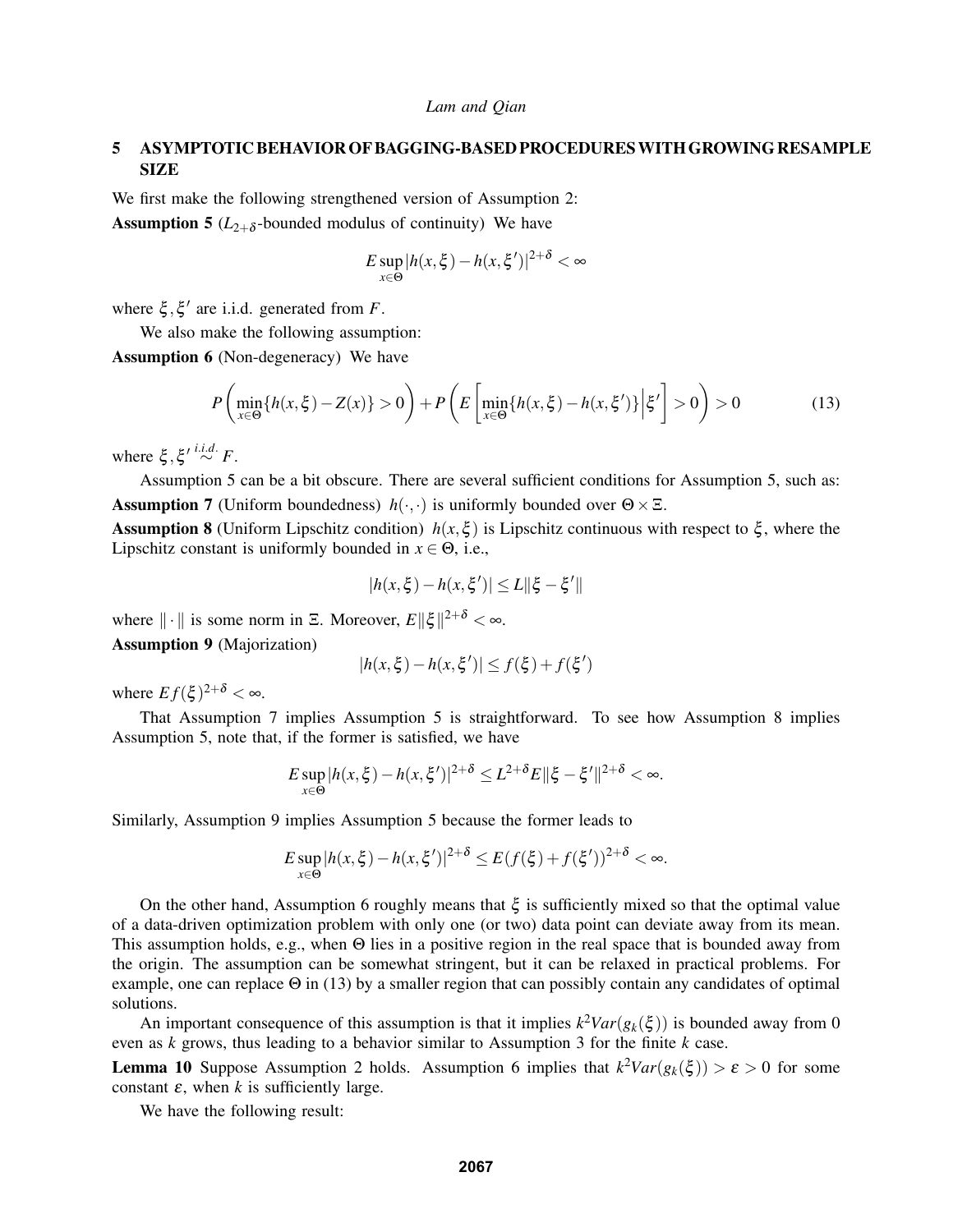# 5 ASYMPTOTIC BEHAVIOR OF BAGGING-BASED PROCEDURESWITH GROWING RESAMPLE SIZE

We first make the following strengthened version of Assumption 2: **Assumption 5** ( $L_{2+\delta}$ -bounded modulus of continuity) We have

$$
E \sup_{x \in \Theta} |h(x,\xi) - h(x,\xi')|^{2+\delta} < \infty
$$

where  $\xi$ ,  $\xi'$  are i.i.d. generated from *F*.

We also make the following assumption: Assumption 6 (Non-degeneracy) We have

$$
P\left(\min_{x\in\Theta}\{h(x,\xi)-Z(x)\}>0\right)+P\left(E\left[\min_{x\in\Theta}\{h(x,\xi)-h(x,\xi')\}\Big|\xi'\right]>0\right)>0\tag{13}
$$

where  $\xi, \xi' \stackrel{i.i.d.}{\sim} F$ .

Assumption 5 can be a bit obscure. There are several sufficient conditions for Assumption 5, such as: **Assumption 7** (Uniform boundedness)  $h(\cdot, \cdot)$  is uniformly bounded over  $\Theta \times \Xi$ .

Assumption 8 (Uniform Lipschitz condition)  $h(x, \xi)$  is Lipschitz continuous with respect to  $\xi$ , where the Lipschitz constant is uniformly bounded in  $x \in \Theta$ , i.e.,

$$
|h(x,\xi)-h(x,\xi')|\leq L\|\xi-\xi'\|
$$

where  $\|\cdot\|$  is some norm in  $\Xi$ . Moreover,  $E\|\xi\|^{2+\delta} < \infty$ . Assumption 9 (Majorization)

$$
|h(x,\xi)-h(x,\xi')|\leq f(\xi)+f(\xi')
$$

where  $Ef(\xi)^{2+\delta} < \infty$ .

That Assumption 7 implies Assumption 5 is straightforward. To see how Assumption 8 implies Assumption 5, note that, if the former is satisfied, we have

$$
E \sup_{x \in \Theta} |h(x,\xi) - h(x,\xi')|^{2+\delta} \le L^{2+\delta} E \|\xi - \xi'\|^{2+\delta} < \infty.
$$

Similarly, Assumption 9 implies Assumption 5 because the former leads to

$$
E \sup_{x \in \Theta} |h(x,\xi) - h(x,\xi')|^{2+\delta} \le E(f(\xi) + f(\xi'))^{2+\delta} < \infty.
$$

On the other hand, Assumption 6 roughly means that  $\xi$  is sufficiently mixed so that the optimal value of a data-driven optimization problem with only one (or two) data point can deviate away from its mean. This assumption holds, e.g., when Θ lies in a positive region in the real space that is bounded away from the origin. The assumption can be somewhat stringent, but it can be relaxed in practical problems. For example, one can replace  $\Theta$  in (13) by a smaller region that can possibly contain any candidates of optimal solutions.

An important consequence of this assumption is that it implies  $k^2Var(g_k(\xi))$  is bounded away from 0 even as *k* grows, thus leading to a behavior similar to Assumption 3 for the finite *k* case.

**Lemma 10** Suppose Assumption 2 holds. Assumption 6 implies that  $k^2Var(g_k(\xi)) > \varepsilon > 0$  for some constant  $\varepsilon$ , when  $k$  is sufficiently large.

We have the following result: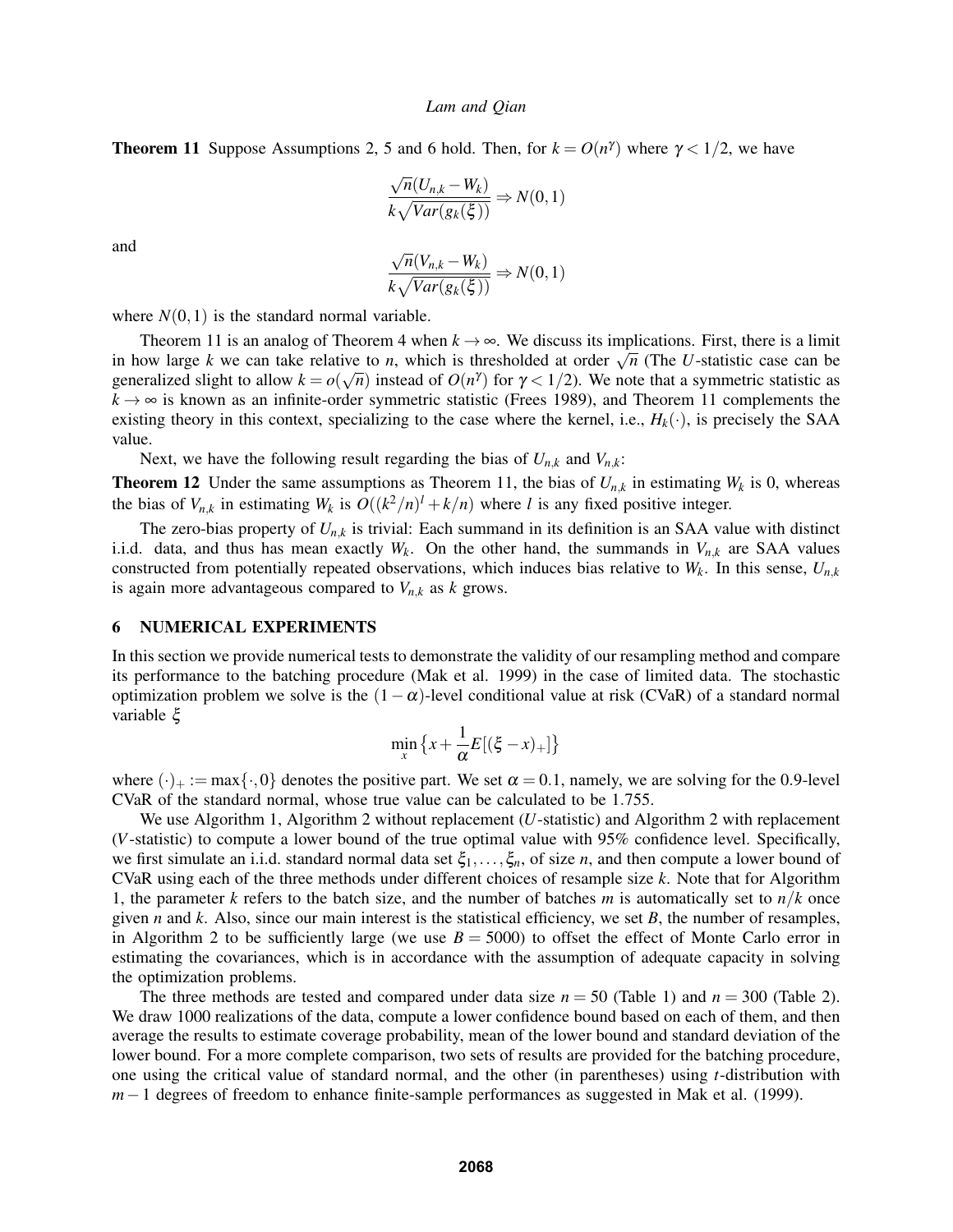**Theorem 11** Suppose Assumptions 2, 5 and 6 hold. Then, for  $k = O(n^{\gamma})$  where  $\gamma < 1/2$ , we have

$$
\frac{\sqrt{n}(U_{n,k} - W_k)}{k\sqrt{Var(g_k(\xi))}} \Rightarrow N(0,1)
$$

and

$$
\frac{\sqrt{n}(V_{n,k} - W_k)}{k\sqrt{Var(g_k(\xi))}} \Rightarrow N(0,1)
$$

where  $N(0,1)$  is the standard normal variable.

Theorem 11 is an analog of Theorem 4 when  $k \to \infty$ . We discuss its implications. First, there is a limit in how large *k* we can take relative to *n*, which is thresholded at order  $\sqrt{n}$  (The *U*-statistic case can be generalized slight to allow  $k = o(\sqrt{n})$  instead of  $O(n^{\gamma})$  for  $\gamma < 1/2$ ). We note that a symmetric statistic as  $k \to \infty$  is known as an infinite-order symmetric statistic (Frees 1989), and Theorem 11 complements the existing theory in this context, specializing to the case where the kernel, i.e.,  $H_k(\cdot)$ , is precisely the SAA value.

Next, we have the following result regarding the bias of  $U_{n,k}$  and  $V_{n,k}$ :

**Theorem 12** Under the same assumptions as Theorem 11, the bias of  $U_{n,k}$  in estimating  $W_k$  is 0, whereas the bias of  $V_{n,k}$  in estimating  $W_k$  is  $O((k^2/n)^l + k/n)$  where *l* is any fixed positive integer.

The zero-bias property of  $U_{n,k}$  is trivial: Each summand in its definition is an SAA value with distinct i.i.d. data, and thus has mean exactly  $W_k$ . On the other hand, the summands in  $V_{n,k}$  are SAA values constructed from potentially repeated observations, which induces bias relative to  $W_k$ . In this sense,  $U_{n,k}$ is again more advantageous compared to  $V_{n,k}$  as  $k$  grows.

### 6 NUMERICAL EXPERIMENTS

In this section we provide numerical tests to demonstrate the validity of our resampling method and compare its performance to the batching procedure (Mak et al. 1999) in the case of limited data. The stochastic optimization problem we solve is the  $(1-\alpha)$ -level conditional value at risk (CVaR) of a standard normal variable ξ

$$
\min_{x} \left\{ x + \frac{1}{\alpha} E\left[ (\xi - x)_{+} \right] \right\}
$$

where  $(\cdot)_+ := \max{\{\cdot,0\}}$  denotes the positive part. We set  $\alpha = 0.1$ , namely, we are solving for the 0.9-level CVaR of the standard normal, whose true value can be calculated to be 1.755.

We use Algorithm 1, Algorithm 2 without replacement (*U*-statistic) and Algorithm 2 with replacement (*V*-statistic) to compute a lower bound of the true optimal value with 95% confidence level. Specifically, we first simulate an i.i.d. standard normal data set  $\xi_1,\ldots,\xi_n$ , of size *n*, and then compute a lower bound of CVaR using each of the three methods under different choices of resample size *k*. Note that for Algorithm 1, the parameter *k* refers to the batch size, and the number of batches *m* is automatically set to  $n/k$  once given *n* and *k*. Also, since our main interest is the statistical efficiency, we set *B*, the number of resamples, in Algorithm 2 to be sufficiently large (we use  $B = 5000$ ) to offset the effect of Monte Carlo error in estimating the covariances, which is in accordance with the assumption of adequate capacity in solving the optimization problems.

The three methods are tested and compared under data size  $n = 50$  (Table 1) and  $n = 300$  (Table 2). We draw 1000 realizations of the data, compute a lower confidence bound based on each of them, and then average the results to estimate coverage probability, mean of the lower bound and standard deviation of the lower bound. For a more complete comparison, two sets of results are provided for the batching procedure, one using the critical value of standard normal, and the other (in parentheses) using *t*-distribution with *m*−1 degrees of freedom to enhance finite-sample performances as suggested in Mak et al. (1999).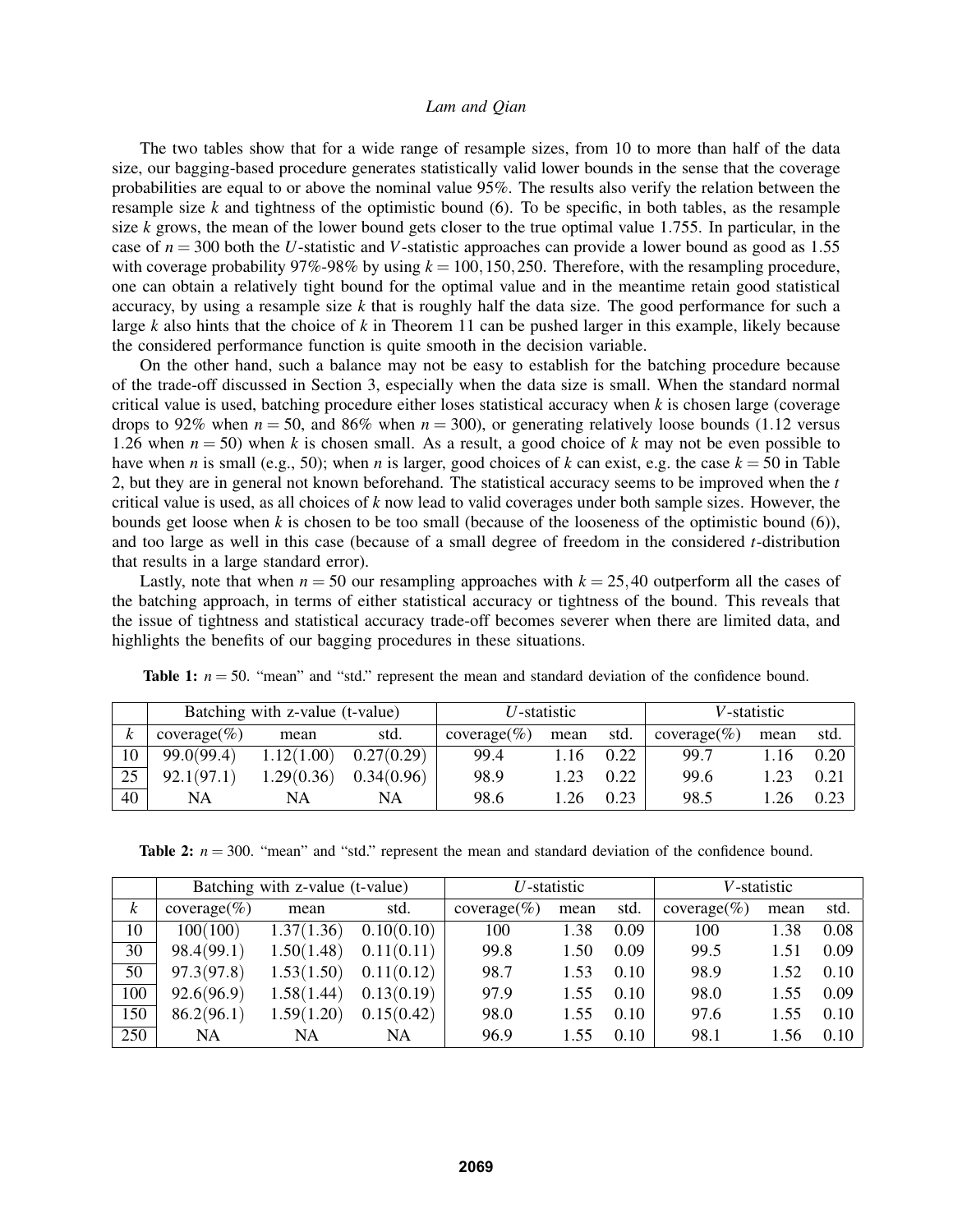The two tables show that for a wide range of resample sizes, from 10 to more than half of the data size, our bagging-based procedure generates statistically valid lower bounds in the sense that the coverage probabilities are equal to or above the nominal value 95%. The results also verify the relation between the resample size  $k$  and tightness of the optimistic bound (6). To be specific, in both tables, as the resample size *k* grows, the mean of the lower bound gets closer to the true optimal value 1.755. In particular, in the case of *n* = 300 both the *U*-statistic and *V*-statistic approaches can provide a lower bound as good as 1.55 with coverage probability  $97\%$ -98% by using  $k = 100, 150, 250$ . Therefore, with the resampling procedure, one can obtain a relatively tight bound for the optimal value and in the meantime retain good statistical accuracy, by using a resample size  $k$  that is roughly half the data size. The good performance for such a large *k* also hints that the choice of *k* in Theorem 11 can be pushed larger in this example, likely because the considered performance function is quite smooth in the decision variable.

On the other hand, such a balance may not be easy to establish for the batching procedure because of the trade-off discussed in Section 3, especially when the data size is small. When the standard normal critical value is used, batching procedure either loses statistical accuracy when *k* is chosen large (coverage drops to 92% when  $n = 50$ , and 86% when  $n = 300$ ), or generating relatively loose bounds (1.12 versus 1.26 when  $n = 50$ ) when k is chosen small. As a result, a good choice of k may not be even possible to have when *n* is small (e.g., 50); when *n* is larger, good choices of *k* can exist, e.g. the case  $k = 50$  in Table 2, but they are in general not known beforehand. The statistical accuracy seems to be improved when the *t* critical value is used, as all choices of *k* now lead to valid coverages under both sample sizes. However, the bounds get loose when  $k$  is chosen to be too small (because of the looseness of the optimistic bound (6)), and too large as well in this case (because of a small degree of freedom in the considered *t*-distribution that results in a large standard error).

Lastly, note that when  $n = 50$  our resampling approaches with  $k = 25,40$  outperform all the cases of the batching approach, in terms of either statistical accuracy or tightness of the bound. This reveals that the issue of tightness and statistical accuracy trade-off becomes severer when there are limited data, and highlights the benefits of our bagging procedures in these situations.

|    | Batching with z-value (t-value) |            |            | $U$ -statistic |      |      | V-statistic    |      |      |
|----|---------------------------------|------------|------------|----------------|------|------|----------------|------|------|
| k  | $coverage$ $%)$                 | mean       | std.       | $coverage(\%)$ | mean | std. | $coverage(\%)$ | mean | std. |
| 10 | 99.0(99.4)                      | .12(1.00)  | 0.27(0.29) | 99.4           | 1.16 | 0.22 | 99.7           | 1.16 | 0.20 |
| 25 | 92.1(97.1)                      | 1.29(0.36) | 0.34(0.96) | 98.9           | 1.23 | 0.22 | 99.6           |      | 0.21 |
| 40 | NA                              | NA         | NA         | 98.6           | l.26 | 0.23 | 98.5           | 1.26 | 0.23 |

**Table 1:**  $n = 50$ . "mean" and "std." represent the mean and standard deviation of the confidence bound.

**Table 2:**  $n = 300$ . "mean" and "std." represent the mean and standard deviation of the confidence bound.

|     | Batching with z-value (t-value) |            |            | $U$ -statistic  |      |      | V-statistic   |      |      |
|-----|---------------------------------|------------|------------|-----------------|------|------|---------------|------|------|
| k   | $coverage(\%)$                  | mean       | std.       | $coverage$ $\%$ | mean | std. | $coverage$ %) | mean | std. |
| 10  | 100(100)                        | 1.37(1.36) | 0.10(0.10) | 100             | 1.38 | 0.09 | 100           | 1.38 | 0.08 |
| 30  | 98.4(99.1)                      | 1.50(1.48) | 0.11(0.11) | 99.8            | 1.50 | 0.09 | 99.5          | 1.51 | 0.09 |
| 50  | 97.3(97.8)                      | 1.53(1.50) | 0.11(0.12) | 98.7            | 1.53 | 0.10 | 98.9          | 1.52 | 0.10 |
| 100 | 92.6(96.9)                      | 1.58(1.44) | 0.13(0.19) | 97.9            | 1.55 | 0.10 | 98.0          | 1.55 | 0.09 |
| 150 | 86.2(96.1)                      | 1.59(1.20) | 0.15(0.42) | 98.0            | 1.55 | 0.10 | 97.6          | 1.55 | 0.10 |
| 250 | NA                              | NA         | NA         | 96.9            | 1.55 | 0.10 | 98.1          | 1.56 | 0.10 |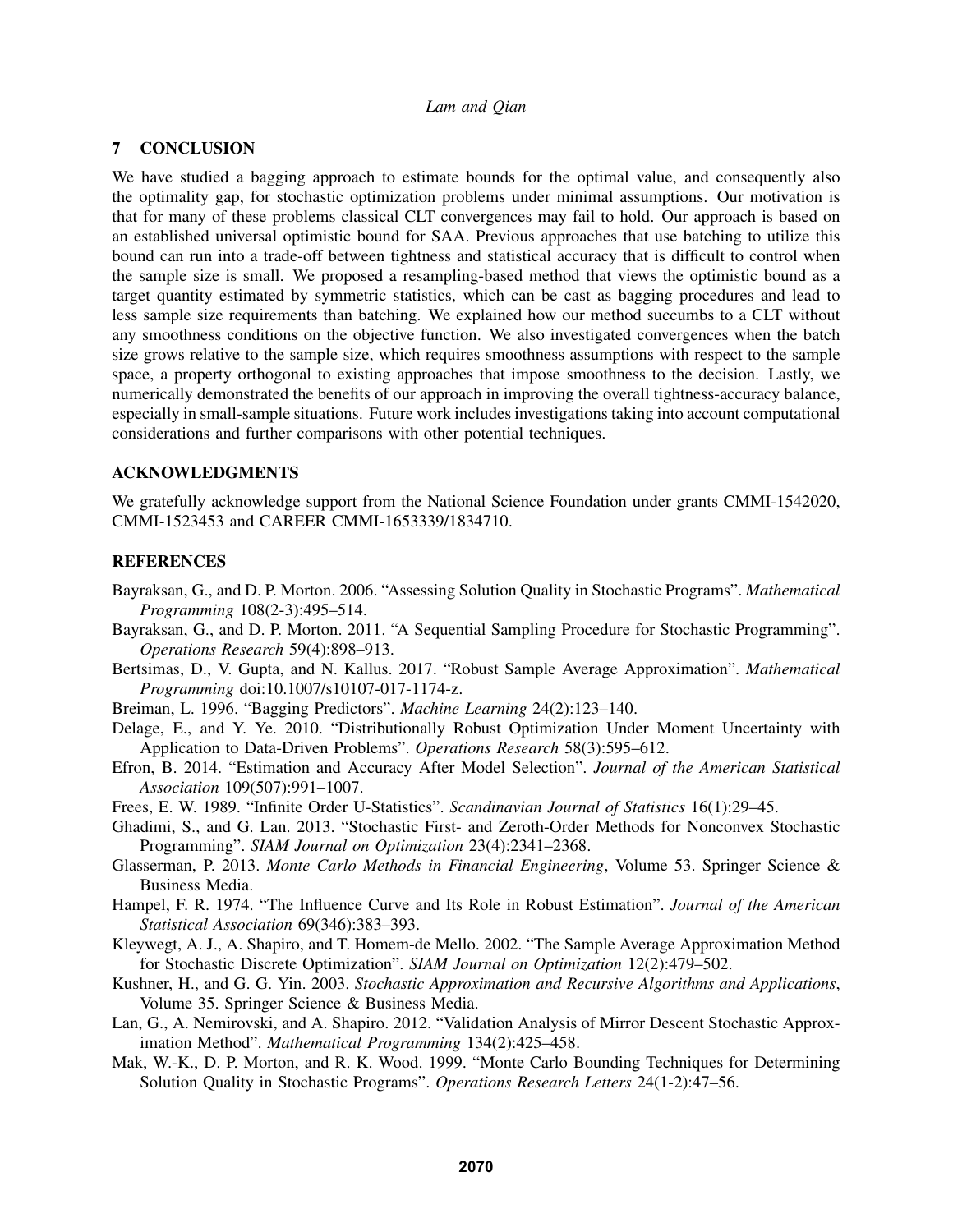# 7 CONCLUSION

We have studied a bagging approach to estimate bounds for the optimal value, and consequently also the optimality gap, for stochastic optimization problems under minimal assumptions. Our motivation is that for many of these problems classical CLT convergences may fail to hold. Our approach is based on an established universal optimistic bound for SAA. Previous approaches that use batching to utilize this bound can run into a trade-off between tightness and statistical accuracy that is difficult to control when the sample size is small. We proposed a resampling-based method that views the optimistic bound as a target quantity estimated by symmetric statistics, which can be cast as bagging procedures and lead to less sample size requirements than batching. We explained how our method succumbs to a CLT without any smoothness conditions on the objective function. We also investigated convergences when the batch size grows relative to the sample size, which requires smoothness assumptions with respect to the sample space, a property orthogonal to existing approaches that impose smoothness to the decision. Lastly, we numerically demonstrated the benefits of our approach in improving the overall tightness-accuracy balance, especially in small-sample situations. Future work includes investigations taking into account computational considerations and further comparisons with other potential techniques.

### ACKNOWLEDGMENTS

We gratefully acknowledge support from the National Science Foundation under grants CMMI-1542020, CMMI-1523453 and CAREER CMMI-1653339/1834710.

# REFERENCES

- Bayraksan, G., and D. P. Morton. 2006. "Assessing Solution Quality in Stochastic Programs". *Mathematical Programming* 108(2-3):495–514.
- Bayraksan, G., and D. P. Morton. 2011. "A Sequential Sampling Procedure for Stochastic Programming". *Operations Research* 59(4):898–913.
- Bertsimas, D., V. Gupta, and N. Kallus. 2017. "Robust Sample Average Approximation". *Mathematical Programming* doi:10.1007/s10107-017-1174-z.
- Breiman, L. 1996. "Bagging Predictors". *Machine Learning* 24(2):123–140.
- Delage, E., and Y. Ye. 2010. "Distributionally Robust Optimization Under Moment Uncertainty with Application to Data-Driven Problems". *Operations Research* 58(3):595–612.
- Efron, B. 2014. "Estimation and Accuracy After Model Selection". *Journal of the American Statistical Association* 109(507):991–1007.
- Frees, E. W. 1989. "Infinite Order U-Statistics". *Scandinavian Journal of Statistics* 16(1):29–45.
- Ghadimi, S., and G. Lan. 2013. "Stochastic First- and Zeroth-Order Methods for Nonconvex Stochastic Programming". *SIAM Journal on Optimization* 23(4):2341–2368.
- Glasserman, P. 2013. *Monte Carlo Methods in Financial Engineering*, Volume 53. Springer Science & Business Media.
- Hampel, F. R. 1974. "The Influence Curve and Its Role in Robust Estimation". *Journal of the American Statistical Association* 69(346):383–393.
- Kleywegt, A. J., A. Shapiro, and T. Homem-de Mello. 2002. "The Sample Average Approximation Method for Stochastic Discrete Optimization". *SIAM Journal on Optimization* 12(2):479–502.
- Kushner, H., and G. G. Yin. 2003. *Stochastic Approximation and Recursive Algorithms and Applications*, Volume 35. Springer Science & Business Media.
- Lan, G., A. Nemirovski, and A. Shapiro. 2012. "Validation Analysis of Mirror Descent Stochastic Approximation Method". *Mathematical Programming* 134(2):425–458.
- Mak, W.-K., D. P. Morton, and R. K. Wood. 1999. "Monte Carlo Bounding Techniques for Determining Solution Quality in Stochastic Programs". *Operations Research Letters* 24(1-2):47–56.